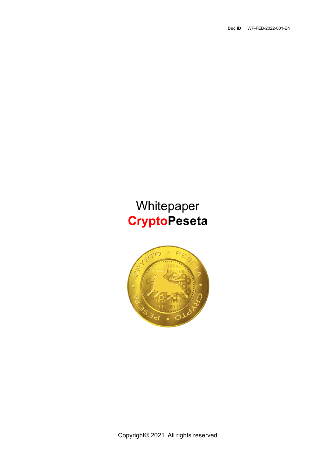# Whitepaper **CryptoPeseta**

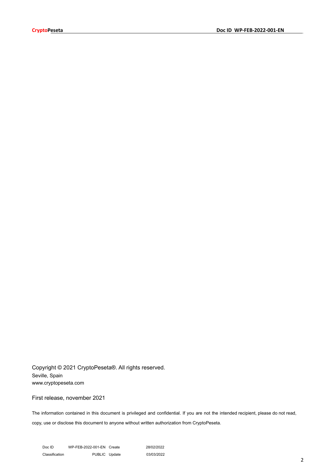Copyright © 2021 CryptoPeseta®. All rights reserved. Seville, Spain www.cryptopeseta.com

#### First release, november 2021

The information contained in this document is privileged and confidential. If you are not the intended recipient, please do not read, copy, use or disclose this document to anyone without written authorization from CryptoPeseta.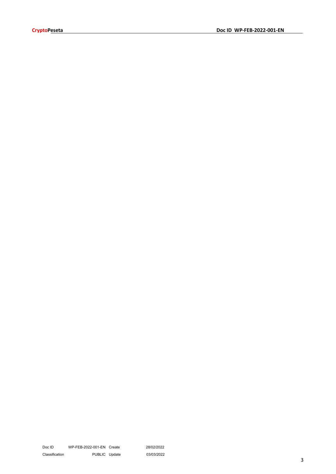Doc ID WP-FEB-2022-001-EN Create 28/02/2022 Classification PUBLIC Update 03/03/2022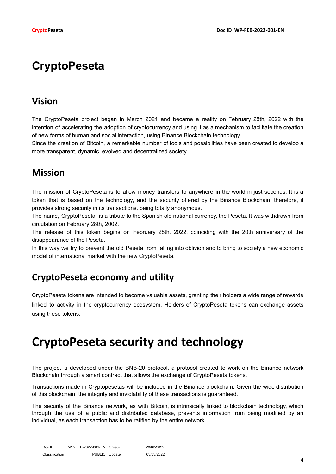# **CryptoPeseta**

## **Vision**

The CryptoPeseta project began in March 2021 and became a reality on February 28th, 2022 with the intention of accelerating the adoption of cryptocurrency and using it as a mechanism to facilitate the creation of new forms of human and social interaction, using Binance Blockchain technology.

Since the creation of Bitcoin, a remarkable number of tools and possibilities have been created to develop a more transparent, dynamic, evolved and decentralized society.

## **Mission**

The mission of CryptoPeseta is to allow money transfers to anywhere in the world in just seconds. It is a token that is based on the technology, and the security offered by the Binance Blockchain, therefore, it provides strong security in its transactions, being totally anonymous.

The name, CryptoPeseta, is a tribute to the Spanish old national currency, the Peseta. It was withdrawn from circulation on February 28th, 2002.

The release of this token begins on February 28th, 2022, coinciding with the 20th anniversary of the disappearance of the Peseta.

In this way we try to prevent the old Peseta from falling into oblivion and to bring to society a new economic model of international market with the new CryptoPeseta.

## **CryptoPeseta economy and utility**

CryptoPeseta tokens are intended to become valuable assets, granting their holders a wide range of rewards linked to activity in the cryptocurrency ecosystem. Holders of CryptoPeseta tokens can exchange assets using these tokens.

# **CryptoPeseta security and technology**

The project is developed under the BNB-20 protocol, a protocol created to work on the Binance network Blockchain through a smart contract that allows the exchange of CryptoPeseta tokens.

Transactions made in Cryptopesetas will be included in the Binance blockchain. Given the wide distribution of this blockchain, the integrity and inviolability of these transactions is guaranteed.

The security of the Binance network, as with Bitcoin, is intrinsically linked to blockchain technology, which through the use of a public and distributed database, prevents information from being modified by an individual, as each transaction has to be ratified by the entire network.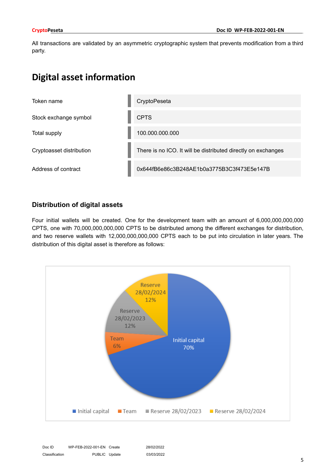All transactions are validated by an asymmetric cryptographic system that prevents modification from a third party.

## **Digital asset information**



### **Distribution of digital assets**

Four initial wallets will be created. One for the development team with an amount of 6,000,000,000,000 CPTS, one with 70,000,000,000,000 CPTS to be distributed among the different exchanges for distribution, and two reserve wallets with 12,000,000,000,000 CPTS each to be put into circulation in later years. The distribution of this digital asset is therefore as follows:



| Doc ID         | WP-FEB-2022-001-EN Create | 28/02/2022 |
|----------------|---------------------------|------------|
| Classification | PUBLIC Update             | 03/03/2022 |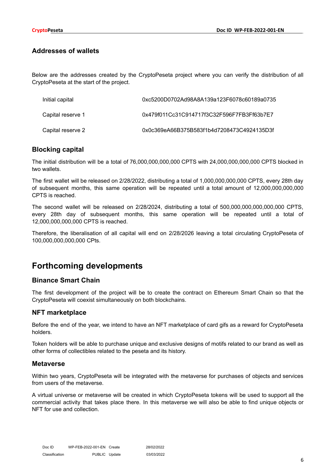#### **Addresses of wallets**

Below are the addresses created by the CryptoPeseta project where you can verify the distribution of all CryptoPeseta at the start of the project.

| Initial capital   | 0xc5200D0702Ad98A8A139a123F6078c60189a0735 |
|-------------------|--------------------------------------------|
| Capital reserve 1 | 0x479f011Cc31C914717f3C32F596F7FB3Ff63b7E7 |
| Capital reserve 2 | 0x0c369eA66B375B583f1b4d7208473C4924135D3f |

#### **Blocking capital**

The initial distribution will be a total of 76,000,000,000,000 CPTS with 24,000,000,000,000 CPTS blocked in two wallets.

The first wallet will be released on 2/28/2022, distributing a total of 1,000,000,000,000 CPTS, every 28th day of subsequent months, this same operation will be repeated until a total amount of 12,000,000,000,000 CPTS is reached.

The second wallet will be released on 2/28/2024, distributing a total of 500,000,000,000,000,000 CPTS, every 28th day of subsequent months, this same operation will be repeated until a total of 12,000,000,000,000 CPTS is reached.

Therefore, the liberalisation of all capital will end on 2/28/2026 leaving a total circulating CryptoPeseta of 100,000,000,000,000 CPts.

### **Forthcoming developments**

#### **Binance Smart Chain**

The first development of the project will be to create the contract on Ethereum Smart Chain so that the CryptoPeseta will coexist simultaneously on both blockchains.

#### **NFT marketplace**

Before the end of the year, we intend to have an NFT marketplace of card gifs as a reward for CryptoPeseta holders.

Token holders will be able to purchase unique and exclusive designs of motifs related to our brand as well as other forms of collectibles related to the peseta and its history.

#### **Metaverse**

Within two years, CryptoPeseta will be integrated with the metaverse for purchases of objects and services from users of the metaverse.

A virtual universe or metaverse will be created in which CryptoPeseta tokens will be used to support all the commercial activity that takes place there. In this metaverse we will also be able to find unique objects or NFT for use and collection.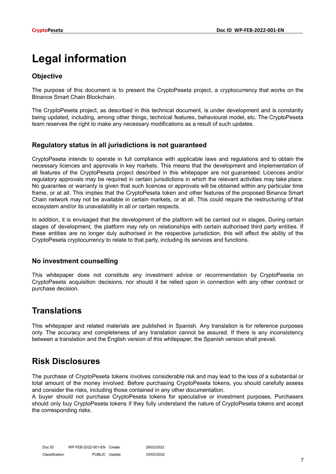# **Legal information**

#### **Objective**

The purpose of this document is to present the CryptoPeseta project, a cryptocurrency that works on the Binance Smart Chain Blockchain.

The CryptoPeseta project, as described in this technical document, is under development and is constantly being updated, including, among other things, technical features, behavioural model, etc. The CryptoPeseta team reserves the right to make any necessary modifications as a result of such updates.

#### **Regulatory status in all jurisdictions is not guaranteed**

CryptoPeseta intends to operate in full compliance with applicable laws and regulations and to obtain the necessary licences and approvals in key markets. This means that the development and implementation of all features of the CryptoPeseta project described in this whitepaper are not guaranteed. Licences and/or regulatory approvals may be required in certain jurisdictions in which the relevant activities may take place. No guarantee or warranty is given that such licences or approvals will be obtained within any particular time frame, or at all. This implies that the CryptoPeseta token and other features of the proposed Binance Smart Chain network may not be available in certain markets, or at all. This could require the restructuring of that ecosystem and/or its unavailability in all or certain respects.

In addition, it is envisaged that the development of the platform will be carried out in stages. During certain stages of development, the platform may rely on relationships with certain authorised third party entities. If these entities are no longer duly authorised in the respective jurisdiction, this will affect the ability of the CryptoPeseta cryptocurrency to relate to that party, including its services and functions.

#### **No investment counselling**

This whitepaper does not constitute any investment advice or recommendation by CryptoPeseta on CryptoPeseta acquisition decisions, nor should it be relied upon in connection with any other contract or purchase decision.

### **Translations**

This whitepaper and related materials are published in Spanish. Any translation is for reference purposes only. The accuracy and completeness of any translation cannot be assured. If there is any inconsistency between a translation and the English version of this whitepaper, the Spanish version shall prevail.

### **Risk Disclosures**

The purchase of CryptoPeseta tokens involves considerable risk and may lead to the loss of a substantial or total amount of the money involved. Before purchasing CryptoPeseta tokens, you should carefully assess and consider the risks, including those contained in any other documentation.

A buyer should not purchase CryptoPeseta tokens for speculative or investment purposes. Purchasers should only buy CryptoPeseta tokens if they fully understand the nature of CryptoPeseta tokens and accept the corresponding risks.